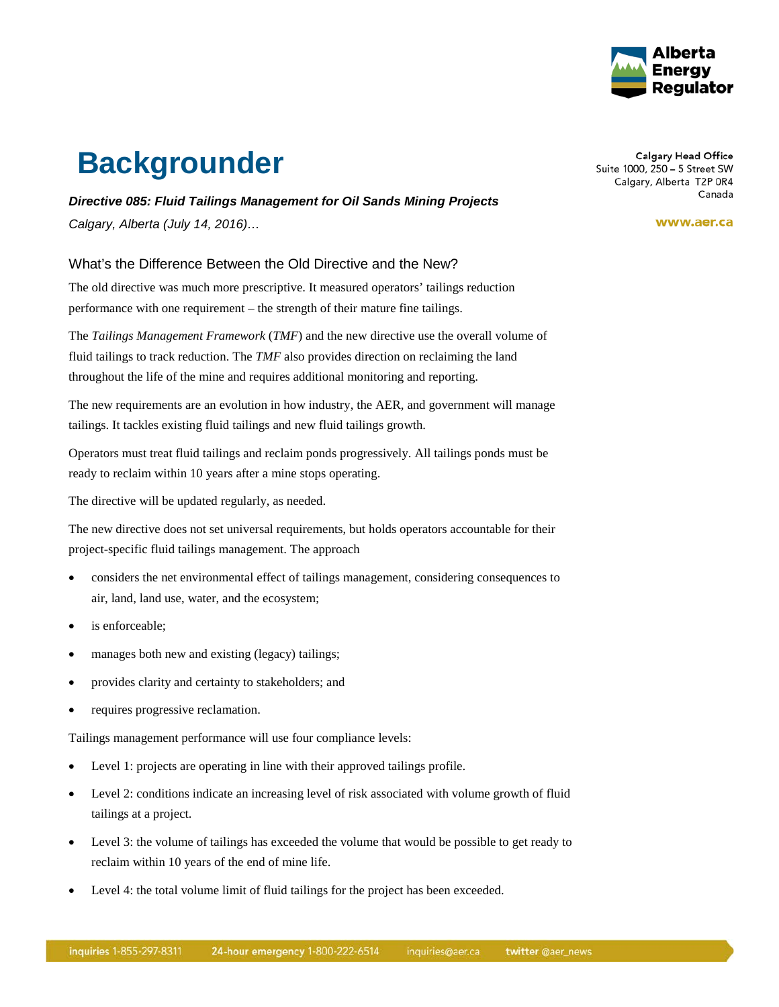

## **Backgrounder**

*Directive 085: Fluid Tailings Management for Oil Sands Mining Projects Calgary, Alberta (July 14, 2016)…*

What's the Difference Between the Old Directive and the New?

The old directive was much more prescriptive. It measured operators' tailings reduction performance with one requirement – the strength of their mature fine tailings.

The *Tailings Management Framework* (*TMF*) and the new directive use the overall volume of fluid tailings to track reduction. The *TMF* also provides direction on reclaiming the land throughout the life of the mine and requires additional monitoring and reporting.

The new requirements are an evolution in how industry, the AER, and government will manage tailings. It tackles existing fluid tailings and new fluid tailings growth.

Operators must treat fluid tailings and reclaim ponds progressively. All tailings ponds must be ready to reclaim within 10 years after a mine stops operating.

The directive will be updated regularly, as needed.

The new directive does not set universal requirements, but holds operators accountable for their project-specific fluid tailings management. The approach

- considers the net environmental effect of tailings management, considering consequences to air, land, land use, water, and the ecosystem;
- is enforceable:
- manages both new and existing (legacy) tailings;
- provides clarity and certainty to stakeholders; and
- requires progressive reclamation.

Tailings management performance will use four compliance levels:

- Level 1: projects are operating in line with their approved tailings profile.
- Level 2: conditions indicate an increasing level of risk associated with volume growth of fluid tailings at a project.
- Level 3: the volume of tailings has exceeded the volume that would be possible to get ready to reclaim within 10 years of the end of mine life.
- Level 4: the total volume limit of fluid tailings for the project has been exceeded.

**Calgary Head Office** Suite 1000, 250 - 5 Street SW Calgary, Alberta T2P 0R4 Canada

www.aer.ca